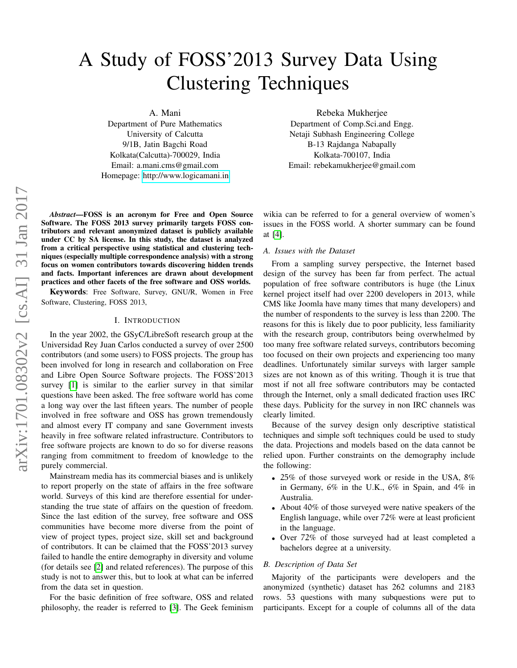# A Study of FOSS'2013 Survey Data Using Clustering Techniques

A. Mani

Department of Pure Mathematics University of Calcutta 9/1B, Jatin Bagchi Road Kolkata(Calcutta)-700029, India Email: a.mani.cms@gmail.com Homepage:<http://www.logicamani.in>

Rebeka Mukherjee Department of Comp.Sci.and Engg. Netaji Subhash Engineering College B-13 Rajdanga Nabapally Kolkata-700107, India Email: rebekamukherjee@gmail.com

*Abstract*—FOSS is an acronym for Free and Open Source Software. The FOSS 2013 survey primarily targets FOSS contributors and relevant anonymized dataset is publicly available under CC by SA license. In this study, the dataset is analyzed from a critical perspective using statistical and clustering techniques (especially multiple correspondence analysis) with a strong focus on women contributors towards discovering hidden trends and facts. Important inferences are drawn about development practices and other facets of the free software and OSS worlds.

Keywords: Free Software, Survey, GNU/R, Women in Free Software, Clustering, FOSS 2013,

#### I. INTRODUCTION

In the year 2002, the GSyC/LibreSoft research group at the Universidad Rey Juan Carlos conducted a survey of over 2500 contributors (and some users) to FOSS projects. The group has been involved for long in research and collaboration on Free and Libre Open Source Software projects. The FOSS'2013 survey [\[1\]](#page-3-0) is similar to the earlier survey in that similar questions have been asked. The free software world has come a long way over the last fifteen years. The number of people involved in free software and OSS has grown tremendously and almost every IT company and sane Government invests heavily in free software related infrastructure. Contributors to free software projects are known to do so for diverse reasons ranging from commitment to freedom of knowledge to the purely commercial.

Mainstream media has its commercial biases and is unlikely to report properly on the state of affairs in the free software world. Surveys of this kind are therefore essential for understanding the true state of affairs on the question of freedom. Since the last edition of the survey, free software and OSS communities have become more diverse from the point of view of project types, project size, skill set and background of contributors. It can be claimed that the FOSS'2013 survey failed to handle the entire demography in diversity and volume (for details see [\[2\]](#page-3-1) and related references). The purpose of this study is not to answer this, but to look at what can be inferred from the data set in question.

For the basic definition of free software, OSS and related philosophy, the reader is referred to [\[3\]](#page-3-2). The Geek feminism wikia can be referred to for a general overview of women's issues in the FOSS world. A shorter summary can be found at [\[4\]](#page-3-3).

#### *A. Issues with the Dataset*

From a sampling survey perspective, the Internet based design of the survey has been far from perfect. The actual population of free software contributors is huge (the Linux kernel project itself had over 2200 developers in 2013, while CMS like Joomla have many times that many developers) and the number of respondents to the survey is less than 2200. The reasons for this is likely due to poor publicity, less familiarity with the research group, contributors being overwhelmed by too many free software related surveys, contributors becoming too focused on their own projects and experiencing too many deadlines. Unfortunately similar surveys with larger sample sizes are not known as of this writing. Though it is true that most if not all free software contributors may be contacted through the Internet, only a small dedicated fraction uses IRC these days. Publicity for the survey in non IRC channels was clearly limited.

Because of the survey design only descriptive statistical techniques and simple soft techniques could be used to study the data. Projections and models based on the data cannot be relied upon. Further constraints on the demography include the following:

- 25% of those surveyed work or reside in the USA, 8% in Germany, 6% in the U.K., 6% in Spain, and 4% in Australia.
- About 40% of those surveyed were native speakers of the English language, while over 72% were at least proficient in the language.
- Over 72% of those surveyed had at least completed a bachelors degree at a university.

#### *B. Description of Data Set*

Majority of the participants were developers and the anonymized (synthetic) dataset has 262 columns and 2183 rows. 53 questions with many subquestions were put to participants. Except for a couple of columns all of the data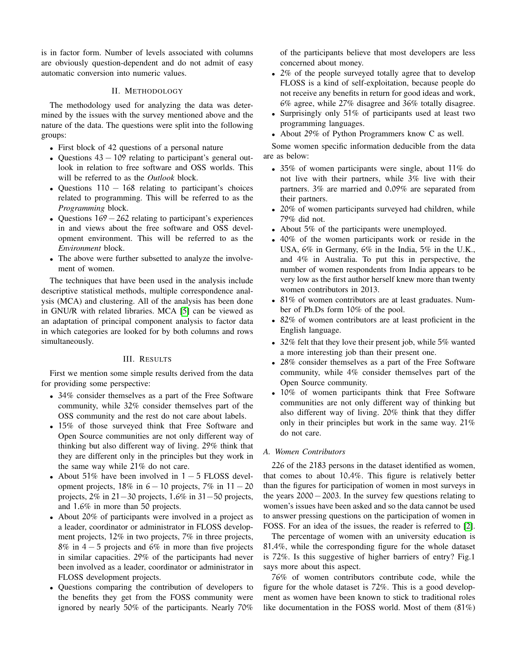is in factor form. Number of levels associated with columns are obviously question-dependent and do not admit of easy automatic conversion into numeric values.

## II. METHODOLOGY

The methodology used for analyzing the data was determined by the issues with the survey mentioned above and the nature of the data. The questions were split into the following groups:

- First block of 42 questions of a personal nature
- Questions  $43 109$  relating to participant's general outlook in relation to free software and OSS worlds. This will be referred to as the *Outlook* block.
- Questions  $110 168$  relating to participant's choices related to programming. This will be referred to as the *Programming* block.
- Questions  $169 262$  relating to participant's experiences in and views about the free software and OSS development environment. This will be referred to as the *Environment* block.
- The above were further subsetted to analyze the involvement of women.

The techniques that have been used in the analysis include descriptive statistical methods, multiple correspondence analysis (MCA) and clustering. All of the analysis has been done in GNU/R with related libraries. MCA [\[5\]](#page-3-4) can be viewed as an adaptation of principal component analysis to factor data in which categories are looked for by both columns and rows simultaneously.

### III. RESULTS

First we mention some simple results derived from the data for providing some perspective:

- 34% consider themselves as a part of the Free Software community, while 32% consider themselves part of the OSS community and the rest do not care about labels.
- 15% of those surveyed think that Free Software and Open Source communities are not only different way of thinking but also different way of living. 29% think that they are different only in the principles but they work in the same way while 21% do not care.
- About 51% have been involved in  $1 5$  FLOSS development projects,  $18\%$  in  $6 - 10$  projects,  $7\%$  in  $11 - 20$ projects, 2% in 21−30 projects, 1.6% in 31−50 projects, and 1.6% in more than 50 projects.
- About 20% of participants were involved in a project as a leader, coordinator or administrator in FLOSS development projects, 12% in two projects, 7% in three projects, 8% in 4 − 5 projects and 6% in more than five projects in similar capacities. 29% of the participants had never been involved as a leader, coordinator or administrator in FLOSS development projects.
- Questions comparing the contribution of developers to the benefits they get from the FOSS community were ignored by nearly 50% of the participants. Nearly 70%

of the participants believe that most developers are less concerned about money.

- 2% of the people surveyed totally agree that to develop FLOSS is a kind of self-exploitation, because people do not receive any benefits in return for good ideas and work, 6% agree, while 27% disagree and 36% totally disagree.
- Surprisingly only 51% of participants used at least two programming languages.
- About 29% of Python Programmers know C as well.

Some women specific information deducible from the data are as below:

- 35% of women participants were single, about 11% do not live with their partners, while 3% live with their partners. 3% are married and 0.09% are separated from their partners.
- 20% of women participants surveyed had children, while 79% did not.
- About 5% of the participants were unemployed.
- 40% of the women participants work or reside in the USA, 6% in Germany, 6% in the India, 5% in the U.K., and 4% in Australia. To put this in perspective, the number of women respondents from India appears to be very low as the first author herself knew more than twenty women contributors in 2013.
- 81% of women contributors are at least graduates. Number of Ph.Ds form 10% of the pool.
- 82% of women contributors are at least proficient in the English language.
- 32% felt that they love their present job, while 5% wanted a more interesting job than their present one.
- 28% consider themselves as a part of the Free Software community, while 4% consider themselves part of the Open Source community.
- 10% of women participants think that Free Software communities are not only different way of thinking but also different way of living. 20% think that they differ only in their principles but work in the same way. 21% do not care.

### *A. Women Contributors*

226 of the 2183 persons in the dataset identified as women, that comes to about 10.4%. This figure is relatively better than the figures for participation of women in most surveys in the years 2000−2003. In the survey few questions relating to women's issues have been asked and so the data cannot be used to answer pressing questions on the participation of women in FOSS. For an idea of the issues, the reader is referred to [\[2\]](#page-3-1).

The percentage of women with an university education is 81.4%, while the corresponding figure for the whole dataset is 72%. Is this suggestive of higher barriers of entry? Fig.1 says more about this aspect.

76% of women contributors contribute code, while the figure for the whole dataset is 72%. This is a good development as women have been known to stick to traditional roles like documentation in the FOSS world. Most of them (81%)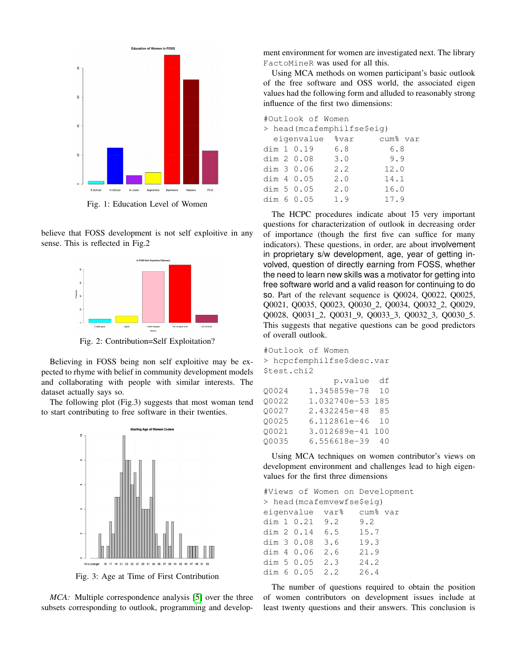

Fig. 1: Education Level of Women

believe that FOSS development is not self exploitive in any sense. This is reflected in Fig.2



Fig. 2: Contribution=Self Exploitation?

Believing in FOSS being non self exploitive may be expected to rhyme with belief in community development models and collaborating with people with similar interests. The dataset actually says so.

The following plot (Fig.3) suggests that most woman tend to start contributing to free software in their twenties.



Fig. 3: Age at Time of First Contribution

*MCA:* Multiple correspondence analysis [\[5\]](#page-3-4) over the three subsets corresponding to outlook, programming and development environment for women are investigated next. The library FactoMineR was used for all this.

Using MCA methods on women participant's basic outlook of the free software and OSS world, the associated eigen values had the following form and alluded to reasonably strong influence of the first two dimensions:

|  | #Outlook of Women |                            |                      |
|--|-------------------|----------------------------|----------------------|
|  |                   | > head(mcafemphilfse\$eiq) |                      |
|  | eigenvalue %var   |                            | cum <sup>8</sup> var |
|  | dim 1 0.19        | 6.8                        | 6.8                  |
|  | dim 2 0.08        | 3.0                        | 9.9                  |
|  | dim $3\,0.06$     | 2.2                        | 12.0                 |
|  | dim $4\,0.05$     | 2.0                        | 14.1                 |
|  | dim 50.05         | 2.0                        | 16.0                 |
|  | dim 60.05         | 1.9                        | 17.9                 |

The HCPC procedures indicate about 15 very important questions for characterization of outlook in decreasing order of importance (though the first five can suffice for many indicators). These questions, in order, are about involvement in proprietary s/w development, age, year of getting involved, question of directly earning from FOSS, whether the need to learn new skills was a motivator for getting into free software world and a valid reason for continuing to do so. Part of the relevant sequence is Q0024, Q0022, Q0025, Q0021, Q0035, Q0023, Q0030\_2, Q0034, Q0032\_2, Q0029, Q0028, Q0031\_2, Q0031\_9, Q0033\_3, Q0032\_3, Q0030\_5. This suggests that negative questions can be good predictors of overall outlook.

| #Outlook of Women |                            |     |  |
|-------------------|----------------------------|-----|--|
|                   | > hcpcfemphilfse\$desc.var |     |  |
| \$test.chi2       |                            |     |  |
|                   | p.value                    | df  |  |
| 00024             | 1.345859e-78               | 10  |  |
| 00022             | 1.032740e-53               | 185 |  |
| 00027             | 2.432245e-48               | 85  |  |
| 00025             | 6.112861e-46               | 10  |  |
| 00021             | 3.012689e-41               | 100 |  |
| 00035             | 6.556618e-39               | 40  |  |

Using MCA techniques on women contributor's views on development environment and challenges lead to high eigenvalues for the first three dimensions

|  |                           |      | #Views of Women on Development |
|--|---------------------------|------|--------------------------------|
|  | > head(mcafemvewfse\$eig) |      |                                |
|  | eigenvalue var% cum% var  |      |                                |
|  | dim 1 0.21 9.2 9.2        |      |                                |
|  | dim 2 0.14 6.5 15.7       |      |                                |
|  | dim 3 0.08 3.6 19.3       |      |                                |
|  | dim 4 0.06 2.6            | 21.9 |                                |
|  | dim 5 0.05 2.3 24.2       |      |                                |
|  | dim $60.052.2$            | 26.4 |                                |
|  |                           |      |                                |

The number of questions required to obtain the position of women contributors on development issues include at least twenty questions and their answers. This conclusion is